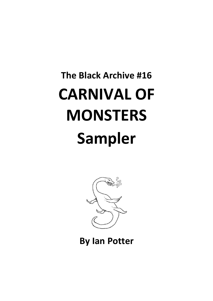## **The Black Archive #16 CARNIVAL OF MONSTERS Sampler**



**By Ian Potter**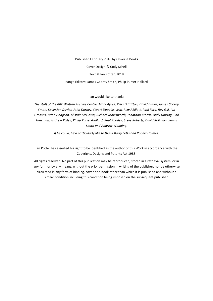Published February 2018 by Obverse Books Cover Design © Cody Schell Text © Ian Potter, 2018 Range Editors: James Cooray Smith, Philip Purser-Hallard

Ian would like to thank:

The staff of the BBC Written Archive Centre, Mark Ayres, Piers D Britton, David Butler, James Cooray *Smith, Kevin Jon Davies, John Dorney, Stuart Douglas, Matthew J Elliott, Paul Ford, Roy Gill, Ian* Greaves, Brian Hodgson, Alistair McGown, Richard Molesworth, Jonathan Morris, Andy Murray, Phil Newman, Andrew Pixley, Philip Purser-Hallard, Paul Rhodes, Steve Roberts, David Rolinson, Kenny **Smith and Andrew Wooding.** 

*If he could, he'd particularly like to thank Barry Letts and Robert Holmes.* 

Ian Potter has asserted his right to be identified as the author of this Work in accordance with the Copyright, Designs and Patents Act 1988.

All rights reserved. No part of this publication may be reproduced, stored in a retrieval system, or in any form or by any means, without the prior permission in writing of the publisher, nor be otherwise circulated in any form of binding, cover or e-book other than which it is published and without a similar condition including this condition being imposed on the subsequent publisher.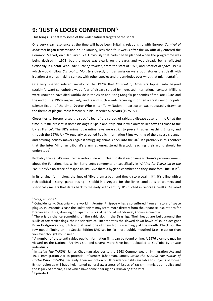## **9: 'JUST A LOOSE CONNECTION'**<sup>1</sup>

This brings us neatly to some of the wider satirical targets of the serial.

One very clear resonance at the time will have been Britain's relationship with Europe. *Carnival of Monsters* began transmission on 27 January, less than four weeks after the UK officially entered the Common Market, on 1 January 1973. Obviously that hadn't been planned when the programme was being devised in 1971, but the move was clearly on the cards and was already being reflected fictionally in Doctor Who. *The Curse of Peladon*, from the start of 1972, and *Frontier in Space* (1973) which would follow *Carnival of Monsters* directly on transmission were both stories that dealt with isolationist worlds making contact with other species and the anxieties over what that might entail<sup>2</sup>.

One very specific related anxiety of the 1970s that *Carnival of Monsters* tapped into beyond straightforward xenophobia was a fear of disease spread by increased international contact. Millions were known to have died worldwide in the Asian and Hong Kong flu pandemics of the late 1950s and the end of the 1960s respectively, and fear of such events recurring informed a great deal of popular science fiction of the time. Doctor Who writer Terry Nation, in particular, was repeatedly drawn to the theme of plague, most famously in his TV series **Survivors** (1975-77).

Closer ties to Europe raised the specific fear of the spread of rabies, a disease absent in the UK at the time, but still present in domestic dogs in Spain and Italy, and in wild animals like foxes as close to the UK as France<sup>3</sup>. The UK's animal quarantine laws were strict to prevent rabies reaching Britain, and through the 1970s UK TV regularly screened Public Information Films warning of the disease's danger and advising holiday-makers against smuggling animals back into the UK $^4$ . It's probably in this context that the Inter Minorian tribunal's alarm at unregistered livestock reaching their world should be understood<sup>5</sup>.

Probably the serial's most remarked-on line with clear political resonance is Orum's pronouncement about the Functionaries, which Barry Letts comments on specifically in *Writing for Television in the* 70s: 'They've no sense of responsibility. Give them a hygiene chamber and they store fossil fuel in it'<sup>6</sup>.

In its original form (along the lines of 'Give them a bath and they'd store coal in it'), it's a line with a rich political history, paraphrasing a snobbish disregard for the living conditions of workers and specifically miners that dates back to the early 20th century. It's quoted in George Orwell's The Road

 $1$  Vorg, episode 1.

 $2$  Coincidentally, Draconia – the world in *Frontier in Space* – has also suffered from a history of space plague. In Draconia's case the isolationism may stem more directly from the Japanese inspirations for Draconian culture, drawing on Japan's historical period of withdrawal, known as Sakoku.

 $3$  There is by chance something of the rabid dog in the Drashigs. Their heads are built around the skulls of fox terrier dogs, their distinctive call incorporates the slowed down howls of sound designer Brian Hodgson's corgi bitch and at least one of them froths alarmingly at the mouth. Check out the raw model filming on the Special Edition DVD set for far more bubbly-mouthed Drashig action than you ever thought you'd need.

A number of these anti-rabies public information films can be found online. A 1976 example may be viewed on the National Archives site and several more have been uploaded to YouTube by private

individuals.<br><sup>5</sup> In *Inside The TARDIS*, James Chapman also posits the 1968 Commonwealth Immigration Act and 1971 Immigration Act as potential influences (Chapman, James, *Inside the TARDIS: The Worlds of* Doctor Who pp95-96). Certainly, their restriction of UK residence rights available to subjects of former British colonies will have heightened general awareness of issues of racism, immigration policy and the legacy of empire, all of which have some bearing on *Carnival of Monsters*. <sup>6</sup> Episode 1.